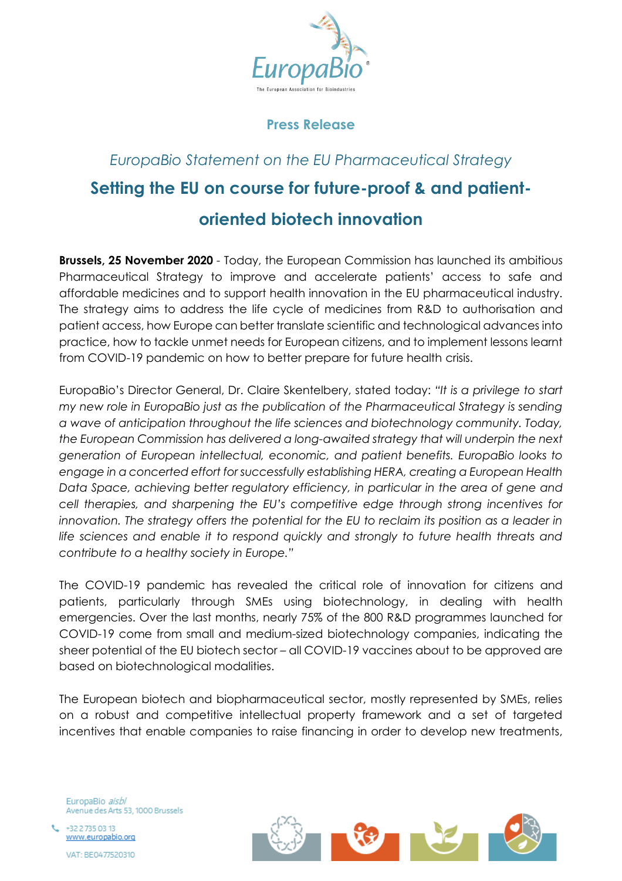

# **Press Release**

# *EuropaBio Statement on the EU Pharmaceutical Strategy* **Setting the EU on course for future-proof & and patientoriented biotech innovation**

**Brussels, 25 November 2020** *-* Today, the European Commission has launched its ambitious Pharmaceutical Strategy to improve and accelerate patients' access to safe and affordable medicines and to support health innovation in the EU pharmaceutical industry. The strategy aims to address the life cycle of medicines from R&D to authorisation and patient access, how Europe can better translate scientific and technological advances into practice, how to tackle unmet needs for European citizens, and to implement lessons learnt from COVID-19 pandemic on how to better prepare for future health crisis.

EuropaBio's Director General, Dr. Claire Skentelbery, stated today: *"It is a privilege to start my new role in EuropaBio just as the publication of the Pharmaceutical Strategy is sending a wave of anticipation throughout the life sciences and biotechnology community. Today, the European Commission has delivered a long-awaited strategy that will underpin the next generation of European intellectual, economic, and patient benefits. EuropaBio looks to engage in a concerted effort for successfully establishing HERA, creating a European Health Data Space, achieving better regulatory efficiency, in particular in the area of gene and cell therapies, and sharpening the EU's competitive edge through strong incentives for innovation. The strategy offers the potential for the EU to reclaim its position as a leader in life sciences and enable it to respond quickly and strongly to future health threats and contribute to a healthy society in Europe."*

The COVID-19 pandemic has revealed the critical role of innovation for citizens and patients, particularly through SMEs using biotechnology, in dealing with health emergencies. Over the last months, nearly 75% of the 800 R&D programmes launched for COVID-19 come from small and medium-sized biotechnology companies, indicating the sheer potential of the EU biotech sector – all COVID-19 vaccines about to be approved are based on biotechnological modalities.

The European biotech and biopharmaceutical sector, mostly represented by SMEs, relies on a robust and competitive intellectual property framework and a set of targeted incentives that enable companies to raise financing in order to develop new treatments,

EuropaBio aisbl Avenue des Arts 53, 1000 Brussels

+32 2 735 03 13 www.europabio.org VAT: BE0477520310

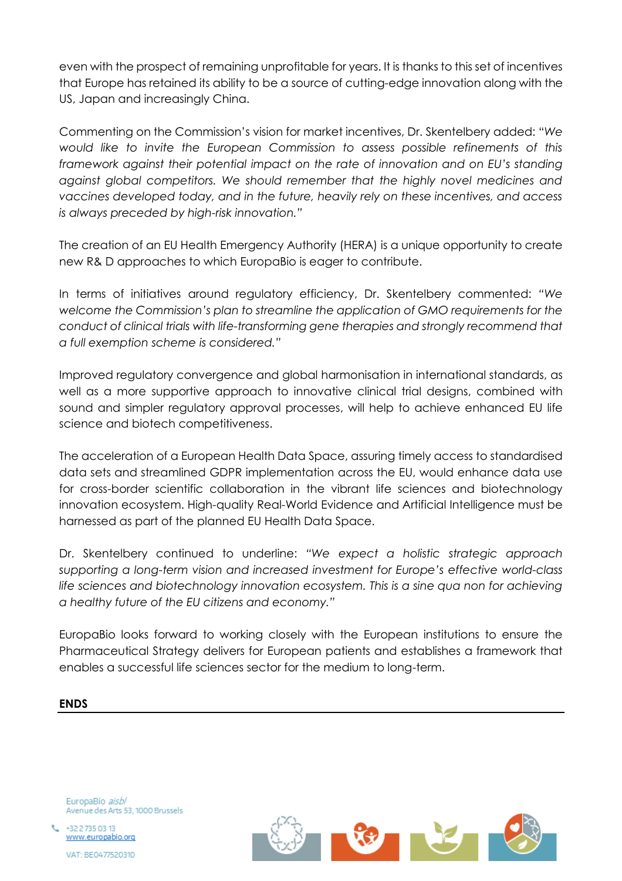even with the prospect of remaining unprofitable for years. It is thanks to this set of incentives that Europe has retained its ability to be a source of cutting-edge innovation along with the US, Japan and increasingly China.

Commenting on the Commission's vision for market incentives, Dr. Skentelbery added: "*We would like to invite the European Commission to assess possible refinements of this framework against their potential impact on the rate of innovation and on EU's standing against global competitors. We should remember that the highly novel medicines and vaccines developed today, and in the future, heavily rely on these incentives, and access is always preceded by high-risk innovation."*

The creation of an EU Health Emergency Authority (HERA) is a unique opportunity to create new R& D approaches to which EuropaBio is eager to contribute.

In terms of initiatives around regulatory efficiency, Dr. Skentelbery commented: *"We welcome the Commission's plan to streamline the application of GMO requirements for the conduct of clinical trials with life-transforming gene therapies and strongly recommend that a full exemption scheme is considered."*

Improved regulatory convergence and global harmonisation in international standards, as well as a more supportive approach to innovative clinical trial designs, combined with sound and simpler regulatory approval processes, will help to achieve enhanced EU life science and biotech competitiveness.

The acceleration of a European Health Data Space, assuring timely access to standardised data sets and streamlined GDPR implementation across the EU, would enhance data use for cross-border scientific collaboration in the vibrant life sciences and biotechnology innovation ecosystem. High-quality Real-World Evidence and Artificial Intelligence must be harnessed as part of the planned EU Health Data Space.

Dr. Skentelbery continued to underline: *"We expect a holistic strategic approach supporting a long-term vision and increased investment for Europe's effective world-class life sciences and biotechnology innovation ecosystem. This is a sine qua non for achieving a healthy future of the EU citizens and economy."*

EuropaBio looks forward to working closely with the European institutions to ensure the Pharmaceutical Strategy delivers for European patients and establishes a framework that enables a successful life sciences sector for the medium to long-term.

#### **ENDS**

EuropaBio aisbl Avenue des Arts 53, 1000 Brussels

+32 2 735 03 13 www.europabio.org VAT: BE0477520310